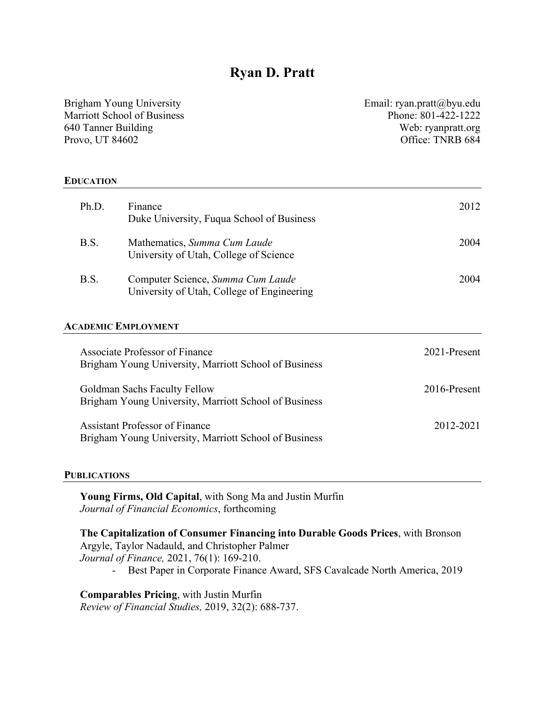# **Ryan D. Pratt**

Brigham Young University **Email:** ryan.pratt@byu.edu Marriott School of Business Phone: 801-422-1222 640 Tanner Building Web: ryanpratt.org Provo, UT 84602 Office: TNRB 684

#### **EDUCATION**

| Ph.D. | Finance<br>Duke University, Fuqua School of Business                            | 2012 |
|-------|---------------------------------------------------------------------------------|------|
| B.S.  | Mathematics, Summa Cum Laude<br>University of Utah, College of Science          | 2004 |
| B.S.  | Computer Science, Summa Cum Laude<br>University of Utah, College of Engineering | 2004 |

## **ACADEMIC EMPLOYMENT**

| Associate Professor of Finance<br>Brigham Young University, Marriott School of Business        | 2021-Present |
|------------------------------------------------------------------------------------------------|--------------|
| <b>Goldman Sachs Faculty Fellow</b><br>Brigham Young University, Marriott School of Business   | 2016-Present |
| <b>Assistant Professor of Finance</b><br>Brigham Young University, Marriott School of Business | 2012-2021    |

#### **PUBLICATIONS**

**Young Firms, Old Capital**, with Song Ma and Justin Murfin *Journal of Financial Economics*, forthcoming

**The Capitalization of Consumer Financing into Durable Goods Prices**, with Bronson Argyle, Taylor Nadauld, and Christopher Palmer *Journal of Finance,* 2021, 76(1): 169-210. - Best Paper in Corporate Finance Award, SFS Cavalcade North America, 2019

**Comparables Pricing**, with Justin Murfin *Review of Financial Studies,* 2019, 32(2): 688-737.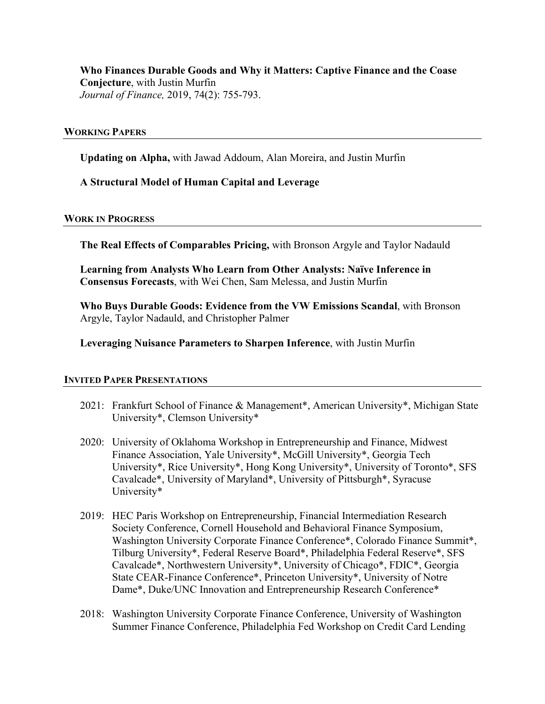**Who Finances Durable Goods and Why it Matters: Captive Finance and the Coase Conjecture**, with Justin Murfin *Journal of Finance,* 2019, 74(2): 755-793.

## **WORKING PAPERS**

**Updating on Alpha,** with Jawad Addoum, Alan Moreira, and Justin Murfin

# **A Structural Model of Human Capital and Leverage**

### **WORK IN PROGRESS**

**The Real Effects of Comparables Pricing,** with Bronson Argyle and Taylor Nadauld

**Learning from Analysts Who Learn from Other Analysts: Naïve Inference in Consensus Forecasts**, with Wei Chen, Sam Melessa, and Justin Murfin

**Who Buys Durable Goods: Evidence from the VW Emissions Scandal**, with Bronson Argyle, Taylor Nadauld, and Christopher Palmer

# **Leveraging Nuisance Parameters to Sharpen Inference**, with Justin Murfin

# **INVITED PAPER PRESENTATIONS**

- 2021: Frankfurt School of Finance & Management\*, American University\*, Michigan State University\*, Clemson University\*
- 2020: University of Oklahoma Workshop in Entrepreneurship and Finance, Midwest Finance Association, Yale University\*, McGill University\*, Georgia Tech University\*, Rice University\*, Hong Kong University\*, University of Toronto\*, SFS Cavalcade\*, University of Maryland\*, University of Pittsburgh\*, Syracuse University\*
- 2019: HEC Paris Workshop on Entrepreneurship, Financial Intermediation Research Society Conference, Cornell Household and Behavioral Finance Symposium, Washington University Corporate Finance Conference\*, Colorado Finance Summit\*, Tilburg University\*, Federal Reserve Board\*, Philadelphia Federal Reserve\*, SFS Cavalcade\*, Northwestern University\*, University of Chicago\*, FDIC\*, Georgia State CEAR-Finance Conference\*, Princeton University\*, University of Notre Dame\*, Duke/UNC Innovation and Entrepreneurship Research Conference\*
- 2018: Washington University Corporate Finance Conference, University of Washington Summer Finance Conference, Philadelphia Fed Workshop on Credit Card Lending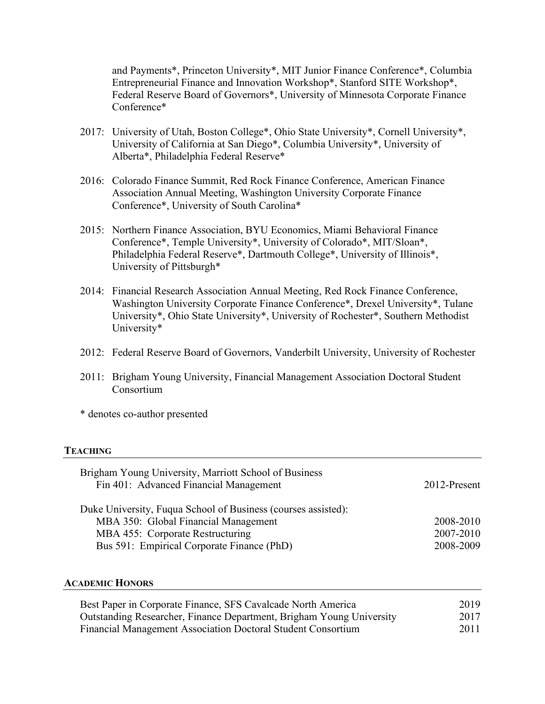and Payments\*, Princeton University\*, MIT Junior Finance Conference\*, Columbia Entrepreneurial Finance and Innovation Workshop\*, Stanford SITE Workshop\*, Federal Reserve Board of Governors\*, University of Minnesota Corporate Finance Conference\*

- 2017: University of Utah, Boston College\*, Ohio State University\*, Cornell University\*, University of California at San Diego\*, Columbia University\*, University of Alberta\*, Philadelphia Federal Reserve\*
- 2016: Colorado Finance Summit, Red Rock Finance Conference, American Finance Association Annual Meeting, Washington University Corporate Finance Conference\*, University of South Carolina\*
- 2015: Northern Finance Association, BYU Economics, Miami Behavioral Finance Conference\*, Temple University\*, University of Colorado\*, MIT/Sloan\*, Philadelphia Federal Reserve\*, Dartmouth College\*, University of Illinois\*, University of Pittsburgh\*
- 2014: Financial Research Association Annual Meeting, Red Rock Finance Conference, Washington University Corporate Finance Conference\*, Drexel University\*, Tulane University\*, Ohio State University\*, University of Rochester\*, Southern Methodist University\*
- 2012: Federal Reserve Board of Governors, Vanderbilt University, University of Rochester
- 2011: Brigham Young University, Financial Management Association Doctoral Student Consortium
- \* denotes co-author presented

#### **TEACHING**

| Brigham Young University, Marriott School of Business<br>Fin 401: Advanced Financial Management | 2012-Present |
|-------------------------------------------------------------------------------------------------|--------------|
| Duke University, Fuqua School of Business (courses assisted):                                   |              |
| MBA 350: Global Financial Management                                                            | 2008-2010    |
| MBA 455: Corporate Restructuring                                                                | 2007-2010    |
| Bus 591: Empirical Corporate Finance (PhD)                                                      | 2008-2009    |

#### **ACADEMIC HONORS**

| Best Paper in Corporate Finance, SFS Cavalcade North America         | 2019 |
|----------------------------------------------------------------------|------|
| Outstanding Researcher, Finance Department, Brigham Young University | 2017 |
| Financial Management Association Doctoral Student Consortium         | 2011 |